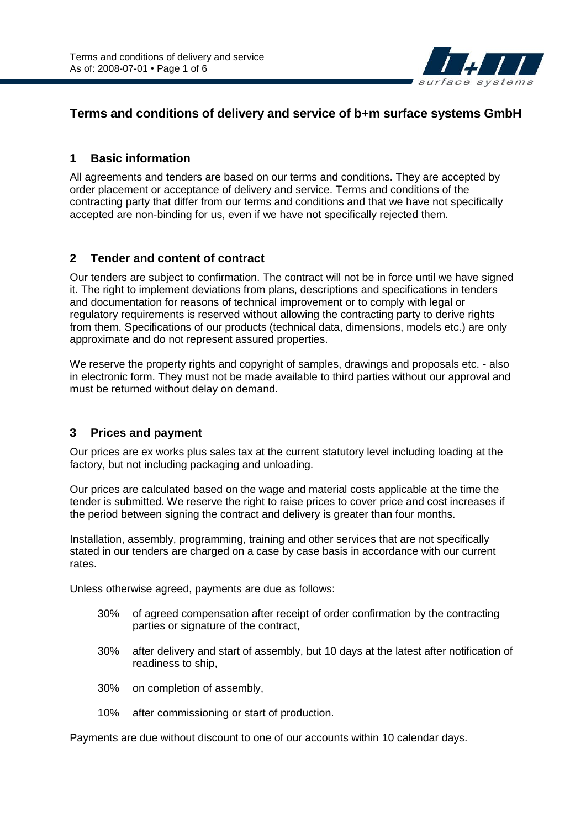

# **Terms and conditions of delivery and service of b+m surface systems GmbH**

#### **1 Basic information**

All agreements and tenders are based on our terms and conditions. They are accepted by order placement or acceptance of delivery and service. Terms and conditions of the contracting party that differ from our terms and conditions and that we have not specifically accepted are non-binding for us, even if we have not specifically rejected them.

#### **2 Tender and content of contract**

Our tenders are subject to confirmation. The contract will not be in force until we have signed it. The right to implement deviations from plans, descriptions and specifications in tenders and documentation for reasons of technical improvement or to comply with legal or regulatory requirements is reserved without allowing the contracting party to derive rights from them. Specifications of our products (technical data, dimensions, models etc.) are only approximate and do not represent assured properties.

We reserve the property rights and copyright of samples, drawings and proposals etc. - also in electronic form. They must not be made available to third parties without our approval and must be returned without delay on demand.

#### **3 Prices and payment**

Our prices are ex works plus sales tax at the current statutory level including loading at the factory, but not including packaging and unloading.

Our prices are calculated based on the wage and material costs applicable at the time the tender is submitted. We reserve the right to raise prices to cover price and cost increases if the period between signing the contract and delivery is greater than four months.

Installation, assembly, programming, training and other services that are not specifically stated in our tenders are charged on a case by case basis in accordance with our current rates.

Unless otherwise agreed, payments are due as follows:

- 30% of agreed compensation after receipt of order confirmation by the contracting parties or signature of the contract,
- 30% after delivery and start of assembly, but 10 days at the latest after notification of readiness to ship,
- 30% on completion of assembly,
- 10% after commissioning or start of production.

Payments are due without discount to one of our accounts within 10 calendar days.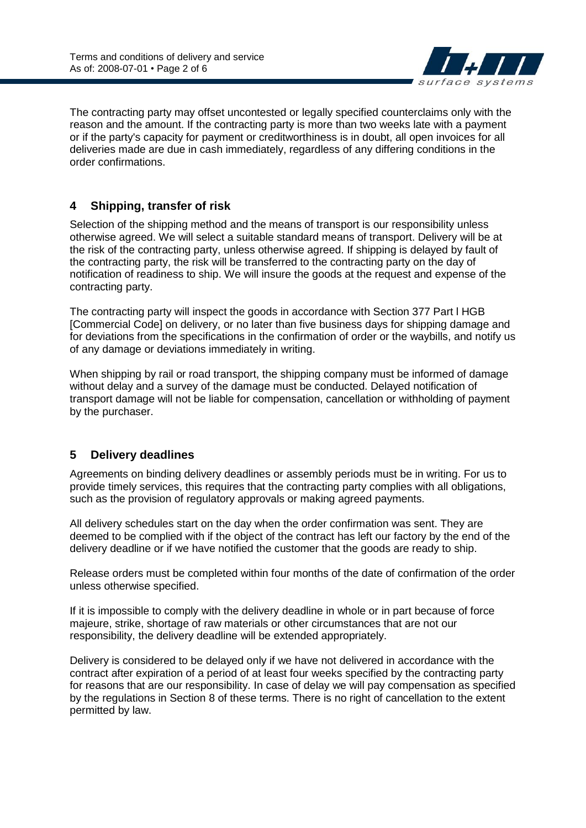

The contracting party may offset uncontested or legally specified counterclaims only with the reason and the amount. If the contracting party is more than two weeks late with a payment or if the party's capacity for payment or creditworthiness is in doubt, all open invoices for all deliveries made are due in cash immediately, regardless of any differing conditions in the order confirmations.

## **4 Shipping, transfer of risk**

Selection of the shipping method and the means of transport is our responsibility unless otherwise agreed. We will select a suitable standard means of transport. Delivery will be at the risk of the contracting party, unless otherwise agreed. If shipping is delayed by fault of the contracting party, the risk will be transferred to the contracting party on the day of notification of readiness to ship. We will insure the goods at the request and expense of the contracting party.

The contracting party will inspect the goods in accordance with Section 377 Part l HGB [Commercial Code] on delivery, or no later than five business days for shipping damage and for deviations from the specifications in the confirmation of order or the waybills, and notify us of any damage or deviations immediately in writing.

When shipping by rail or road transport, the shipping company must be informed of damage without delay and a survey of the damage must be conducted. Delayed notification of transport damage will not be liable for compensation, cancellation or withholding of payment by the purchaser.

## **5 Delivery deadlines**

Agreements on binding delivery deadlines or assembly periods must be in writing. For us to provide timely services, this requires that the contracting party complies with all obligations, such as the provision of regulatory approvals or making agreed payments.

All delivery schedules start on the day when the order confirmation was sent. They are deemed to be complied with if the object of the contract has left our factory by the end of the delivery deadline or if we have notified the customer that the goods are ready to ship.

Release orders must be completed within four months of the date of confirmation of the order unless otherwise specified.

If it is impossible to comply with the delivery deadline in whole or in part because of force majeure, strike, shortage of raw materials or other circumstances that are not our responsibility, the delivery deadline will be extended appropriately.

Delivery is considered to be delayed only if we have not delivered in accordance with the contract after expiration of a period of at least four weeks specified by the contracting party for reasons that are our responsibility. In case of delay we will pay compensation as specified by the regulations in Section 8 of these terms. There is no right of cancellation to the extent permitted by law.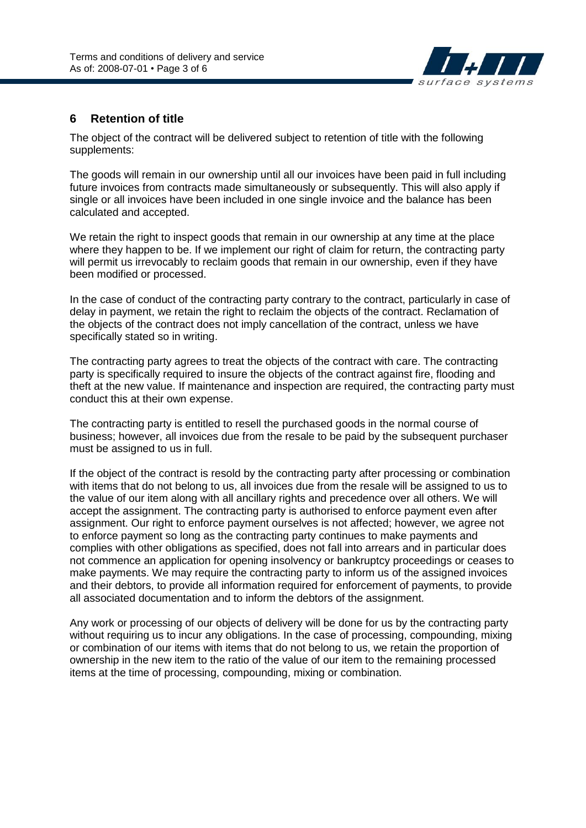

#### **6 Retention of title**

The object of the contract will be delivered subject to retention of title with the following supplements:

The goods will remain in our ownership until all our invoices have been paid in full including future invoices from contracts made simultaneously or subsequently. This will also apply if single or all invoices have been included in one single invoice and the balance has been calculated and accepted.

We retain the right to inspect goods that remain in our ownership at any time at the place where they happen to be. If we implement our right of claim for return, the contracting party will permit us irrevocably to reclaim goods that remain in our ownership, even if they have been modified or processed.

In the case of conduct of the contracting party contrary to the contract, particularly in case of delay in payment, we retain the right to reclaim the objects of the contract. Reclamation of the objects of the contract does not imply cancellation of the contract, unless we have specifically stated so in writing.

The contracting party agrees to treat the objects of the contract with care. The contracting party is specifically required to insure the objects of the contract against fire, flooding and theft at the new value. If maintenance and inspection are required, the contracting party must conduct this at their own expense.

The contracting party is entitled to resell the purchased goods in the normal course of business; however, all invoices due from the resale to be paid by the subsequent purchaser must be assigned to us in full.

If the object of the contract is resold by the contracting party after processing or combination with items that do not belong to us, all invoices due from the resale will be assigned to us to the value of our item along with all ancillary rights and precedence over all others. We will accept the assignment. The contracting party is authorised to enforce payment even after assignment. Our right to enforce payment ourselves is not affected; however, we agree not to enforce payment so long as the contracting party continues to make payments and complies with other obligations as specified, does not fall into arrears and in particular does not commence an application for opening insolvency or bankruptcy proceedings or ceases to make payments. We may require the contracting party to inform us of the assigned invoices and their debtors, to provide all information required for enforcement of payments, to provide all associated documentation and to inform the debtors of the assignment.

Any work or processing of our objects of delivery will be done for us by the contracting party without requiring us to incur any obligations. In the case of processing, compounding, mixing or combination of our items with items that do not belong to us, we retain the proportion of ownership in the new item to the ratio of the value of our item to the remaining processed items at the time of processing, compounding, mixing or combination.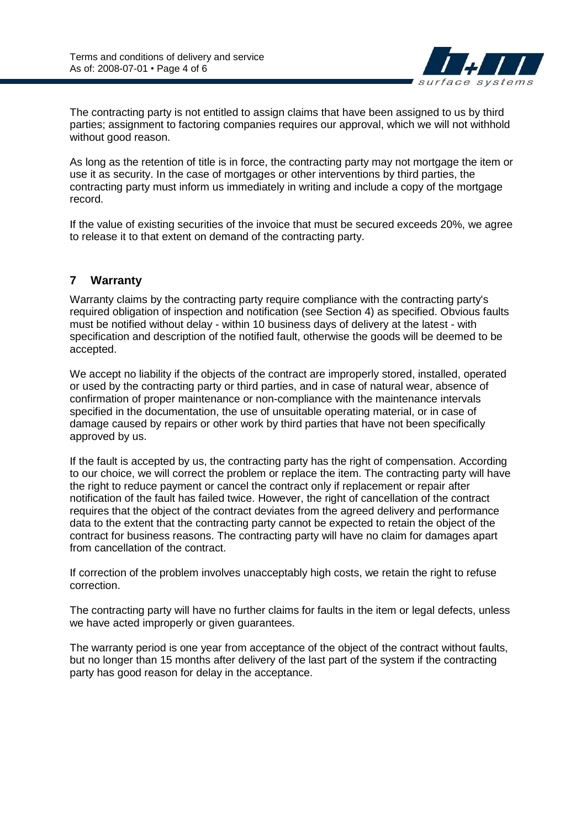

The contracting party is not entitled to assign claims that have been assigned to us by third parties; assignment to factoring companies requires our approval, which we will not withhold without good reason.

As long as the retention of title is in force, the contracting party may not mortgage the item or use it as security. In the case of mortgages or other interventions by third parties, the contracting party must inform us immediately in writing and include a copy of the mortgage record.

If the value of existing securities of the invoice that must be secured exceeds 20%, we agree to release it to that extent on demand of the contracting party.

## **7 Warranty**

Warranty claims by the contracting party require compliance with the contracting party's required obligation of inspection and notification (see Section 4) as specified. Obvious faults must be notified without delay - within 10 business days of delivery at the latest - with specification and description of the notified fault, otherwise the goods will be deemed to be accepted.

We accept no liability if the objects of the contract are improperly stored, installed, operated or used by the contracting party or third parties, and in case of natural wear, absence of confirmation of proper maintenance or non-compliance with the maintenance intervals specified in the documentation, the use of unsuitable operating material, or in case of damage caused by repairs or other work by third parties that have not been specifically approved by us.

If the fault is accepted by us, the contracting party has the right of compensation. According to our choice, we will correct the problem or replace the item. The contracting party will have the right to reduce payment or cancel the contract only if replacement or repair after notification of the fault has failed twice. However, the right of cancellation of the contract requires that the object of the contract deviates from the agreed delivery and performance data to the extent that the contracting party cannot be expected to retain the object of the contract for business reasons. The contracting party will have no claim for damages apart from cancellation of the contract.

If correction of the problem involves unacceptably high costs, we retain the right to refuse correction.

The contracting party will have no further claims for faults in the item or legal defects, unless we have acted improperly or given guarantees.

The warranty period is one year from acceptance of the object of the contract without faults, but no longer than 15 months after delivery of the last part of the system if the contracting party has good reason for delay in the acceptance.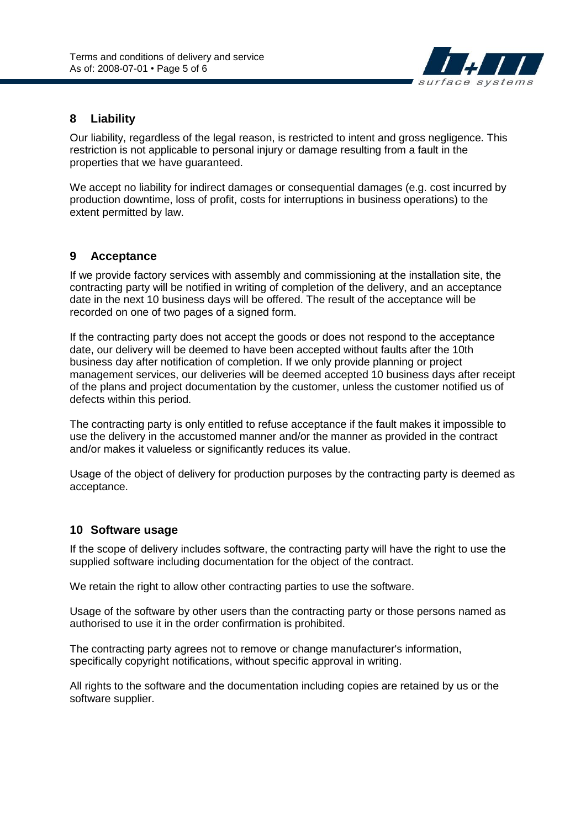

### **8 Liability**

Our liability, regardless of the legal reason, is restricted to intent and gross negligence. This restriction is not applicable to personal injury or damage resulting from a fault in the properties that we have guaranteed.

We accept no liability for indirect damages or consequential damages (e.g. cost incurred by production downtime, loss of profit, costs for interruptions in business operations) to the extent permitted by law.

#### **9 Acceptance**

If we provide factory services with assembly and commissioning at the installation site, the contracting party will be notified in writing of completion of the delivery, and an acceptance date in the next 10 business days will be offered. The result of the acceptance will be recorded on one of two pages of a signed form.

If the contracting party does not accept the goods or does not respond to the acceptance date, our delivery will be deemed to have been accepted without faults after the 10th business day after notification of completion. If we only provide planning or project management services, our deliveries will be deemed accepted 10 business days after receipt of the plans and project documentation by the customer, unless the customer notified us of defects within this period.

The contracting party is only entitled to refuse acceptance if the fault makes it impossible to use the delivery in the accustomed manner and/or the manner as provided in the contract and/or makes it valueless or significantly reduces its value.

Usage of the object of delivery for production purposes by the contracting party is deemed as acceptance.

#### **10 Software usage**

If the scope of delivery includes software, the contracting party will have the right to use the supplied software including documentation for the object of the contract.

We retain the right to allow other contracting parties to use the software.

Usage of the software by other users than the contracting party or those persons named as authorised to use it in the order confirmation is prohibited.

The contracting party agrees not to remove or change manufacturer's information, specifically copyright notifications, without specific approval in writing.

All rights to the software and the documentation including copies are retained by us or the software supplier.